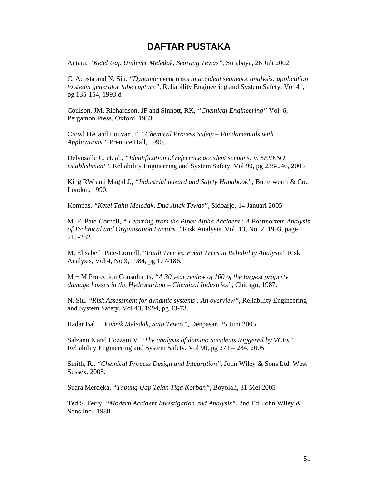## **DAFTAR PUSTAKA**

Antara, *"Ketel Uap Unilever Meledak, Seorang Tewas"*, Surabaya, 26 Juli 2002

C. Acosta and N. Siu, *"Dynamic event trees in accident sequence analysis: application to steam generator tube rupture",* Reliability Engineering and System Safety, Vol 41, pg 135-154, 1993.d

Coulson, JM, Richardson, JF and Sinnott, RK, *"Chemical Engineering"* Vol. 6, Pergamon Press, Oxford, 1983.

Crowl DA and Louvar JF, *"Chemical Process Safety – Fundamentals with Applications",* Prentice Hall, 1990.

Delvosalle C, et. al., *"Identification of reference accident scenario in SEVESO establishment"*, Reliability Engineering and System Safety, Vol 90, pg 238-246, 2005

King RW and Magid J,, *"Industrial hazard and Safety Handbook"*, Butterworth & Co., London, 1990.

Kompas, *"Ketel Tahu Meledak, Dua Anak Tewas"*, Sidoarjo, 14 Januari 2005

M. E. Pate-Cornell, *" Learning from the Piper Alpha Accident : A Postmortem Analysis of Technical and Organisation Factors."* Risk Analysis, Vol. 13, No. 2, 1993, page 215-232.

M. Elisabeth Pate-Cornell, *"Fault Tree vs. Event Trees in Reliability Analysis"* Risk Analysis, Vol 4, No 3, 1984, pg 177-186.

M + M Protection Consultants, *"A 30 year review of 100 of the largest property damage Losses in the Hydrocarbon – Chemical Industries",* Chicago, 1987.

N. Siu. *"Risk Assessment for dynamic systems : An overview"*, Reliability Engineering and System Safety, Vol 43, 1994, pg 43-73.

Radar Bali, *"Pabrik Meledak, Satu Tewas"*, Denpasar, 25 Juni 2005

Salzano E and Cozzani V, "*The analysis of domino accidents triggered by VCEs"*, Reliability Engineering and System Safety, Vol 90, pg 271 – 284, 2005

Smith, R*., "Chemical Process Design and Integration",* John Wiley & Sons Ltd, West Sussex, 2005.

Suara Merdeka, *"Tabung Uap Telan Tiga Korban"*, Boyolali, 31 Mei 2005

Ted S. Ferry, *"Modern Accident Investigation and Analysis"*. 2nd Ed. John Wiley & Sons Inc., 1988.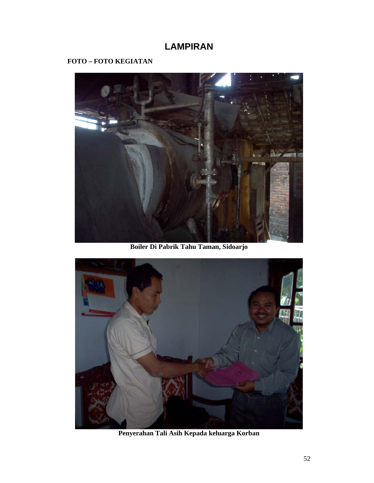## **LAMPIRAN**

## **FOTO – FOTO KEGIATAN**



**Boiler Di Pabrik Tahu Taman, Sidoarjo** 



**Penyerahan Tali Asih Kepada keluarga Korban**